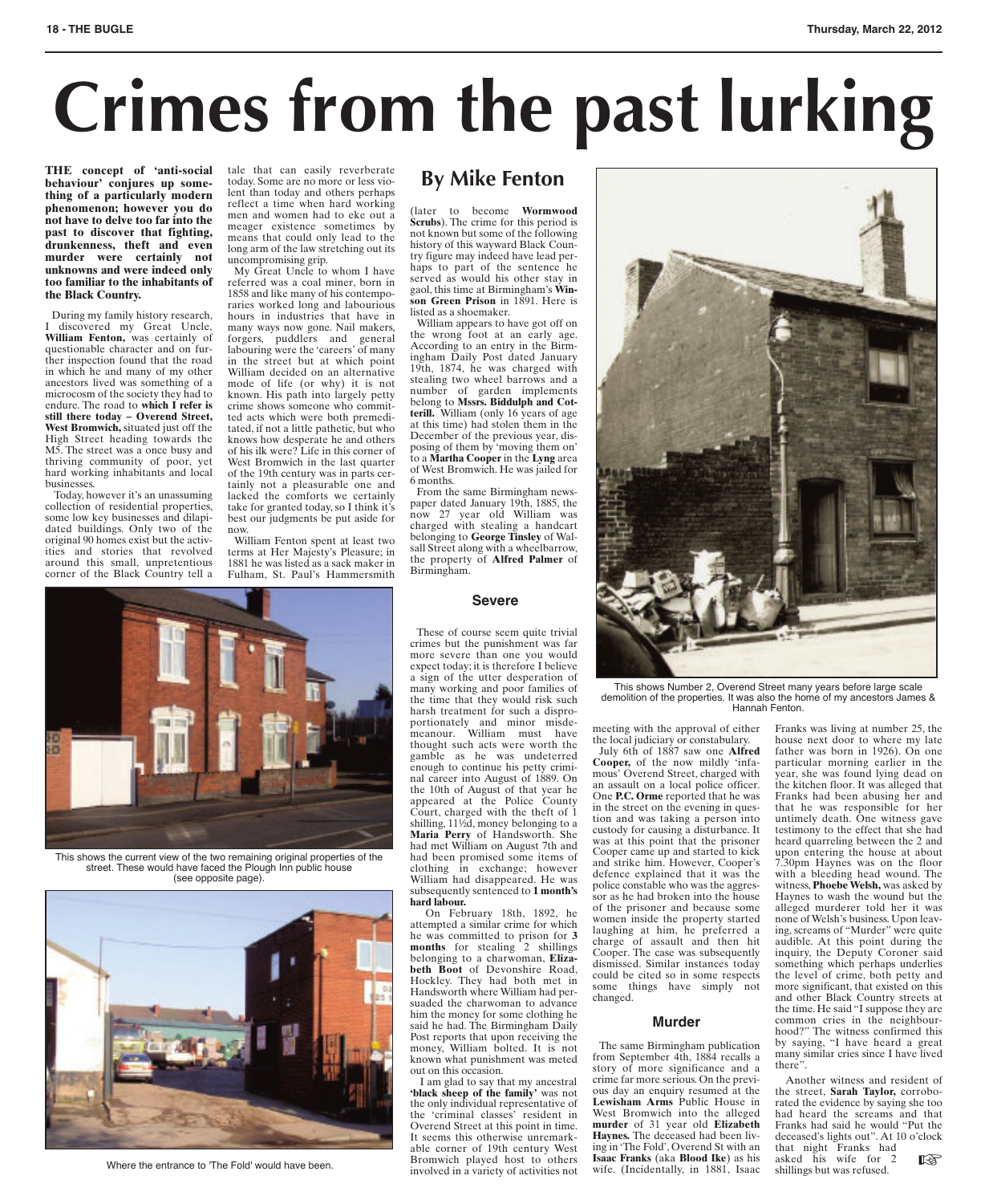## **18 - THE BUGLE Thursday, March 22, 2012**

# **Crimes from the past lurking**

**THE concept of 'anti-social behaviour' conjures up something of a particularly modern phenomenon; however you do not have to delve too far into the past to discover that fighting, drunkenness, theft and even murder were certainly not unknowns and were indeed only too familiar to the inhabitants of the Black Country.**

During my family history research, I discovered my Great Uncle, **William Fenton,** was certainly of questionable character and on further inspection found that the road in which he and many of my other ancestors lived was something of a microcosm of the society they had to endure. The road to **which I refer is still there today–Overend Street, West Bromwich,** situated just off the High Street heading towards the M5. The street was a once busy and thriving community of poor, yet hard working inhabitants and local businesses. Today, however it's an unassuming

collection of residential properties, some low key businesses and dilapidated buildings. Only two of the original 90 homes exist but the activities and stories that revolved around this small, unpretentious corner of the Black Country tell a tale that can easily reverberate today. Some are no more or less violent than today and others perhaps reflect a time when hard working men and women had to eke out a meager existence sometimes by means that could only lead to the long arm of the law stretching out its uncompromising grip.

My Great Uncle to whom I have referred was a coal miner, born in 1858 and like many of his contemporaries worked long and labourious hours in industries that have in many ways now gone. Nail makers, forgers, puddlers and general labouring were the 'careers' of many in the street but at which point William decided on an alternative mode of life (or why) it is not known. His path into largely petty crime shows someone who committed acts which were both premeditated, if not a little pathetic, but who knows how desperate he and others of his ilk were? Life in this corner of West Bromwich in the last quarter of the 19th century was in parts certainly not a pleasurable one and lacked the comforts we certainly take for granted today, so I think it's best our judgments be put aside for now.

William Fenton spent at least two terms at Her Majesty's Pleasure; in 1881 he was listed as a sack maker in Fulham, St. Paul's Hammersmith

## **By Mike Fenton**

(later to become **Wormwood Scrubs**). The crime for this period is not known but some of the following history of this wayward Black Country figure may indeed have lead perhaps to part of the sentence he served as would his other stay in gaol, this time at Birmingham's **Winson Green Prison** in 1891. Here is listed as a shoemaker.

William appears to have got off on the wrong foot at an early age. According to an entry in the Birmingham Daily Post dated January 19th, 1874, he was charged with stealing two wheel barrows and a number of garden implements belong to **Mssrs. Biddulph and Cotterill.** William (only 16 years of age at this time) had stolen them in the December of the previous year, dis-posing of them by 'moving them on' to a **Martha Cooper** in the **Lyng** area of West Bromwich. He was jailed for 6 months.

From the same Birmingham newspaper dated January 19th, 1885, the now 27 year old William was charged with stealing a handcart belonging to **George Tinsley** of Walsall Street along with a wheelbarrow, the property of **Alfred Palmer** of Birmingham.



This shows the current view of the two remaining original properties of the street. These would have faced the Plough Inn public house (see opposite page).



### **Severe**

These of course seem quite trivial crimes but the punishment was far more severe than one you would expect today; it is therefore I believe a sign of the utter desperation of many working and poor families of the time that they would risk such harsh treatment for such a disproportionately and minor misde-meanour. William must have thought such acts were worth the gamble as he was undeterred enough to continue his petty criminal career into August of 1889. On the 10th of August of that year he appeared at the Police County Court, charged with the theft of 1 shilling, 11½d, money belonging to a **Maria Perry** of Handsworth. She had met William on August 7th and had been promised some items of clothing in exchange; however William had disappeared. He was subsequently sentenced to **1 month's hard labour.**

On February 18th, 1892, he attempted a similar crime for which he was committed to prison for **3 months** for stealing 2 shillings belonging to a charwoman, **Elizabeth Boot** of Devonshire Road, Hockley. They had both met in Handsworth where William had persuaded the charwoman to advance him the money for some clothing he said he had. The Birmingham Daily Post reports that upon receiving the money, William bolted. It is not known what punishment was meted out on this occasion.

I am glad to say that my ancestral **'black sheep of the family'** was not the only individual representative of the 'criminal classes' resident in Overend Street at this point in time. It seems this otherwise unremarkable corner of 19th century West Bromwich played host to others involved in a variety of activities not able corner of 19th century west ing in the Fold, Overend St with an that hight Franks had<br>Bromwich played host to others **Issac Franks** (Nach Blood Like) as his astemated here the entrance to 'The Fold' would have been.<br>



This shows Number 2, Overend Street many years before large scale demolition of the properties. It was also the home of my ancestors James & Hannah Fenton.

meeting with the approval of either the local judiciary or constabulary. July 6th of 1887 saw one **Alfred Cooper,** of the now mildly 'infamous' Overend Street, charged with an assault on a local police officer. One **P.C. Orme** reported that he was in the street on the evening in question and was taking a person into custody for causing a disturbance. It was at this point that the prisoner Cooper came up and started to kick and strike him. However, Cooper's defence explained that it was the police constable who was the aggressor as he had broken into the house of the prisoner and because some women inside the property started laughing at him, he preferred a charge of assault and then hit Cooper. The case was subsequently dismissed. Similar instances today could be cited so in some respects some things have simply not changed.

### **Murder**

The same Birmingham publication from September 4th, 1884 recalls a story of more significance and a crime far more serious.On the previous day an enquiry resumed at the **Lewisham Arms** Public House in West Bromwich into the alleged **murder** of 31 year old **Elizabeth Haynes.** The deceased had been living in 'The Fold', Overend St with an **Isaac Franks** (aka **Blood Ike**) as his wife. (Incidentally, in 1881, Isaac Franks was living at number 25, the house next door to where my late father was born in 1926). On one particular morning earlier in the year, she was found lying dead on the kitchen floor. It was alleged that Franks had been abusing her and that he was responsible for her untimely death. One witness gave testimony to the effect that she had heard quarreling between the 2 and upon entering the house at about 7.30pm Haynes was on the floor with a bleeding head wound. The witness,**Phoebe Welsh,** was asked by Haynes to wash the wound but the alleged murderer told her it was none ofWelsh's business.Upon leaving, screams of "Murder" were quite audible. At this point during the inquiry, the Deputy Coroner said something which perhaps underlies the level of crime, both petty and more significant, that existed on this and other Black Country streets at the time. He said "I suppose they are common cries in the neighbourhood?" The witness confirmed this by saying, "I have heard a great many similar cries since I have lived there".

Another witness and resident of the street, **Sarah Taylor,** corroborated the evidence by saying she too had heard the screams and that Franks had said he would "Put the deceased's lights out". At 10 o'clock that night Franks had asked his wife for 2 shillings but was refused.